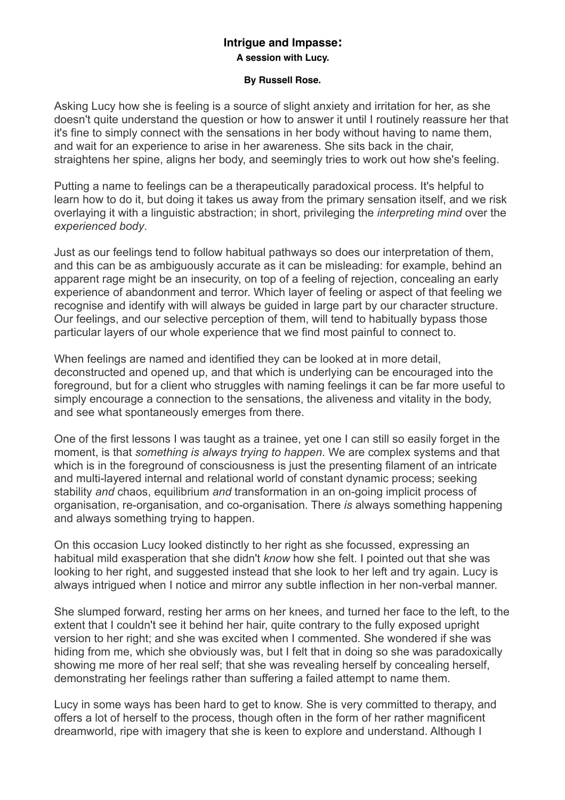### **By Russell Rose.**

Asking Lucy how she is feeling is a source of slight anxiety and irritation for her, as she doesn't quite understand the question or how to answer it until I routinely reassure her that it's fine to simply connect with the sensations in her body without having to name them, and wait for an experience to arise in her awareness. She sits back in the chair, straightens her spine, aligns her body, and seemingly tries to work out how she's feeling.

Putting a name to feelings can be a therapeutically paradoxical process. It's helpful to learn how to do it, but doing it takes us away from the primary sensation itself, and we risk overlaying it with a linguistic abstraction; in short, privileging the *interpreting mind* over the *experienced body*.

Just as our feelings tend to follow habitual pathways so does our interpretation of them, and this can be as ambiguously accurate as it can be misleading: for example, behind an apparent rage might be an insecurity, on top of a feeling of rejection, concealing an early experience of abandonment and terror. Which layer of feeling or aspect of that feeling we recognise and identify with will always be guided in large part by our character structure. Our feelings, and our selective perception of them, will tend to habitually bypass those particular layers of our whole experience that we find most painful to connect to.

When feelings are named and identified they can be looked at in more detail. deconstructed and opened up, and that which is underlying can be encouraged into the foreground, but for a client who struggles with naming feelings it can be far more useful to simply encourage a connection to the sensations, the aliveness and vitality in the body, and see what spontaneously emerges from there.

One of the first lessons I was taught as a trainee, yet one I can still so easily forget in the moment, is that *something is always trying to happen*. We are complex systems and that which is in the foreground of consciousness is just the presenting filament of an intricate and multi-layered internal and relational world of constant dynamic process; seeking stability *and* chaos, equilibrium *and* transformation in an on-going implicit process of organisation, re-organisation, and co-organisation. There *is* always something happening and always something trying to happen.

On this occasion Lucy looked distinctly to her right as she focussed, expressing an habitual mild exasperation that she didn't *know* how she felt. I pointed out that she was looking to her right, and suggested instead that she look to her left and try again. Lucy is always intrigued when I notice and mirror any subtle inflection in her non-verbal manner.

She slumped forward, resting her arms on her knees, and turned her face to the left, to the extent that I couldn't see it behind her hair, quite contrary to the fully exposed upright version to her right; and she was excited when I commented. She wondered if she was hiding from me, which she obviously was, but I felt that in doing so she was paradoxically showing me more of her real self; that she was revealing herself by concealing herself, demonstrating her feelings rather than suffering a failed attempt to name them.

Lucy in some ways has been hard to get to know. She is very committed to therapy, and offers a lot of herself to the process, though often in the form of her rather magnificent dreamworld, ripe with imagery that she is keen to explore and understand. Although I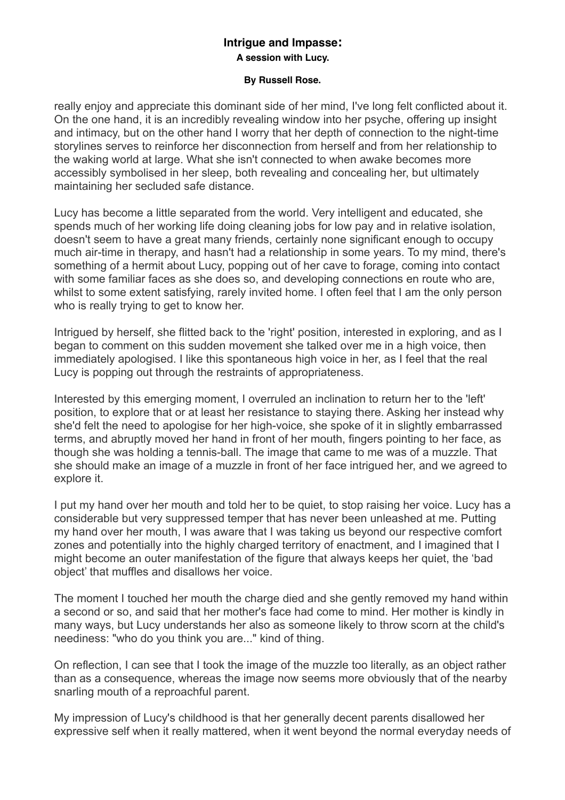### **By Russell Rose.**

really enjoy and appreciate this dominant side of her mind, I've long felt conflicted about it. On the one hand, it is an incredibly revealing window into her psyche, offering up insight and intimacy, but on the other hand I worry that her depth of connection to the night-time storylines serves to reinforce her disconnection from herself and from her relationship to the waking world at large. What she isn't connected to when awake becomes more accessibly symbolised in her sleep, both revealing and concealing her, but ultimately maintaining her secluded safe distance.

Lucy has become a little separated from the world. Very intelligent and educated, she spends much of her working life doing cleaning jobs for low pay and in relative isolation, doesn't seem to have a great many friends, certainly none significant enough to occupy much air-time in therapy, and hasn't had a relationship in some years. To my mind, there's something of a hermit about Lucy, popping out of her cave to forage, coming into contact with some familiar faces as she does so, and developing connections en route who are. whilst to some extent satisfying, rarely invited home. I often feel that I am the only person who is really trying to get to know her.

Intrigued by herself, she flitted back to the 'right' position, interested in exploring, and as I began to comment on this sudden movement she talked over me in a high voice, then immediately apologised. I like this spontaneous high voice in her, as I feel that the real Lucy is popping out through the restraints of appropriateness.

Interested by this emerging moment, I overruled an inclination to return her to the 'left' position, to explore that or at least her resistance to staying there. Asking her instead why she'd felt the need to apologise for her high-voice, she spoke of it in slightly embarrassed terms, and abruptly moved her hand in front of her mouth, fingers pointing to her face, as though she was holding a tennis-ball. The image that came to me was of a muzzle. That she should make an image of a muzzle in front of her face intrigued her, and we agreed to explore it.

I put my hand over her mouth and told her to be quiet, to stop raising her voice. Lucy has a considerable but very suppressed temper that has never been unleashed at me. Putting my hand over her mouth, I was aware that I was taking us beyond our respective comfort zones and potentially into the highly charged territory of enactment, and I imagined that I might become an outer manifestation of the figure that always keeps her quiet, the 'bad object' that muffles and disallows her voice.

The moment I touched her mouth the charge died and she gently removed my hand within a second or so, and said that her mother's face had come to mind. Her mother is kindly in many ways, but Lucy understands her also as someone likely to throw scorn at the child's neediness: "who do you think you are..." kind of thing.

On reflection, I can see that I took the image of the muzzle too literally, as an object rather than as a consequence, whereas the image now seems more obviously that of the nearby snarling mouth of a reproachful parent.

My impression of Lucy's childhood is that her generally decent parents disallowed her expressive self when it really mattered, when it went beyond the normal everyday needs of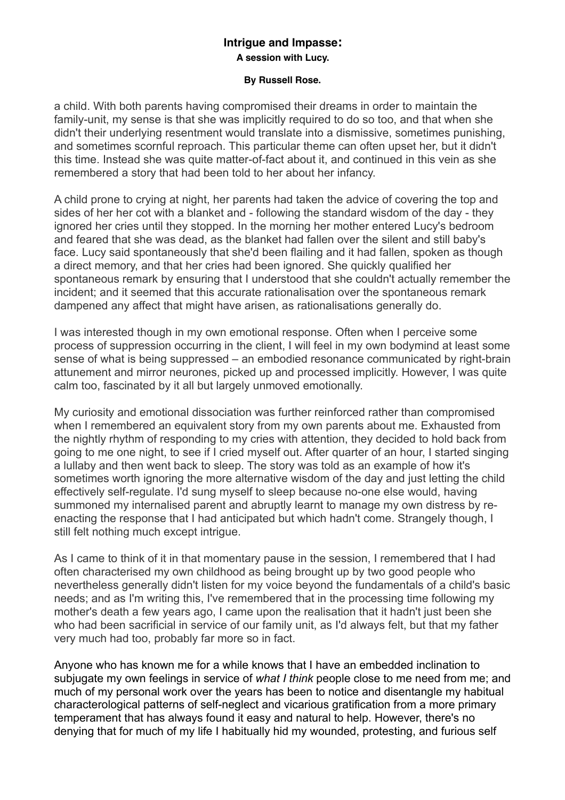### **By Russell Rose.**

a child. With both parents having compromised their dreams in order to maintain the family-unit, my sense is that she was implicitly required to do so too, and that when she didn't their underlying resentment would translate into a dismissive, sometimes punishing, and sometimes scornful reproach. This particular theme can often upset her, but it didn't this time. Instead she was quite matter-of-fact about it, and continued in this vein as she remembered a story that had been told to her about her infancy.

A child prone to crying at night, her parents had taken the advice of covering the top and sides of her her cot with a blanket and - following the standard wisdom of the day - they ignored her cries until they stopped. In the morning her mother entered Lucy's bedroom and feared that she was dead, as the blanket had fallen over the silent and still baby's face. Lucy said spontaneously that she'd been flailing and it had fallen, spoken as though a direct memory, and that her cries had been ignored. She quickly qualified her spontaneous remark by ensuring that I understood that she couldn't actually remember the incident; and it seemed that this accurate rationalisation over the spontaneous remark dampened any affect that might have arisen, as rationalisations generally do.

I was interested though in my own emotional response. Often when I perceive some process of suppression occurring in the client, I will feel in my own bodymind at least some sense of what is being suppressed – an embodied resonance communicated by right-brain attunement and mirror neurones, picked up and processed implicitly. However, I was quite calm too, fascinated by it all but largely unmoved emotionally.

My curiosity and emotional dissociation was further reinforced rather than compromised when I remembered an equivalent story from my own parents about me. Exhausted from the nightly rhythm of responding to my cries with attention, they decided to hold back from going to me one night, to see if I cried myself out. After quarter of an hour, I started singing a lullaby and then went back to sleep. The story was told as an example of how it's sometimes worth ignoring the more alternative wisdom of the day and just letting the child effectively self-regulate. I'd sung myself to sleep because no-one else would, having summoned my internalised parent and abruptly learnt to manage my own distress by reenacting the response that I had anticipated but which hadn't come. Strangely though, I still felt nothing much except intrigue.

As I came to think of it in that momentary pause in the session, I remembered that I had often characterised my own childhood as being brought up by two good people who nevertheless generally didn't listen for my voice beyond the fundamentals of a child's basic needs; and as I'm writing this, I've remembered that in the processing time following my mother's death a few years ago, I came upon the realisation that it hadn't just been she who had been sacrificial in service of our family unit, as I'd always felt, but that my father very much had too, probably far more so in fact.

Anyone who has known me for a while knows that I have an embedded inclination to subjugate my own feelings in service of *what I think* people close to me need from me; and much of my personal work over the years has been to notice and disentangle my habitual characterological patterns of self-neglect and vicarious gratification from a more primary temperament that has always found it easy and natural to help. However, there's no denying that for much of my life I habitually hid my wounded, protesting, and furious self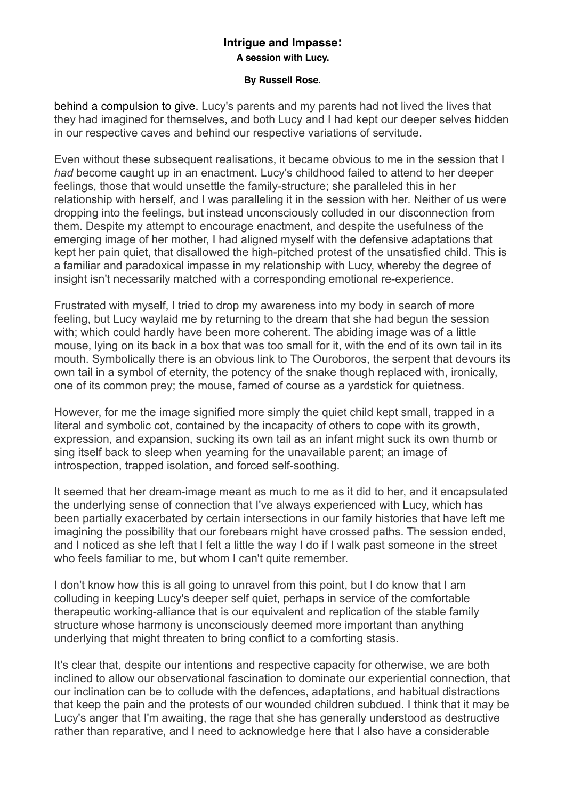### **By Russell Rose.**

behind a compulsion to give. Lucy's parents and my parents had not lived the lives that they had imagined for themselves, and both Lucy and I had kept our deeper selves hidden in our respective caves and behind our respective variations of servitude.

Even without these subsequent realisations, it became obvious to me in the session that I *had* become caught up in an enactment. Lucy's childhood failed to attend to her deeper feelings, those that would unsettle the family-structure; she paralleled this in her relationship with herself, and I was paralleling it in the session with her. Neither of us were dropping into the feelings, but instead unconsciously colluded in our disconnection from them. Despite my attempt to encourage enactment, and despite the usefulness of the emerging image of her mother, I had aligned myself with the defensive adaptations that kept her pain quiet, that disallowed the high-pitched protest of the unsatisfied child. This is a familiar and paradoxical impasse in my relationship with Lucy, whereby the degree of insight isn't necessarily matched with a corresponding emotional re-experience.

Frustrated with myself, I tried to drop my awareness into my body in search of more feeling, but Lucy waylaid me by returning to the dream that she had begun the session with; which could hardly have been more coherent. The abiding image was of a little mouse, lying on its back in a box that was too small for it, with the end of its own tail in its mouth. Symbolically there is an obvious link to The Ouroboros, the serpent that devours its own tail in a symbol of eternity, the potency of the snake though replaced with, ironically, one of its common prey; the mouse, famed of course as a yardstick for quietness.

However, for me the image signified more simply the quiet child kept small, trapped in a literal and symbolic cot, contained by the incapacity of others to cope with its growth, expression, and expansion, sucking its own tail as an infant might suck its own thumb or sing itself back to sleep when yearning for the unavailable parent; an image of introspection, trapped isolation, and forced self-soothing.

It seemed that her dream-image meant as much to me as it did to her, and it encapsulated the underlying sense of connection that I've always experienced with Lucy, which has been partially exacerbated by certain intersections in our family histories that have left me imagining the possibility that our forebears might have crossed paths. The session ended, and I noticed as she left that I felt a little the way I do if I walk past someone in the street who feels familiar to me, but whom I can't quite remember.

I don't know how this is all going to unravel from this point, but I do know that I am colluding in keeping Lucy's deeper self quiet, perhaps in service of the comfortable therapeutic working-alliance that is our equivalent and replication of the stable family structure whose harmony is unconsciously deemed more important than anything underlying that might threaten to bring conflict to a comforting stasis.

It's clear that, despite our intentions and respective capacity for otherwise, we are both inclined to allow our observational fascination to dominate our experiential connection, that our inclination can be to collude with the defences, adaptations, and habitual distractions that keep the pain and the protests of our wounded children subdued. I think that it may be Lucy's anger that I'm awaiting, the rage that she has generally understood as destructive rather than reparative, and I need to acknowledge here that I also have a considerable